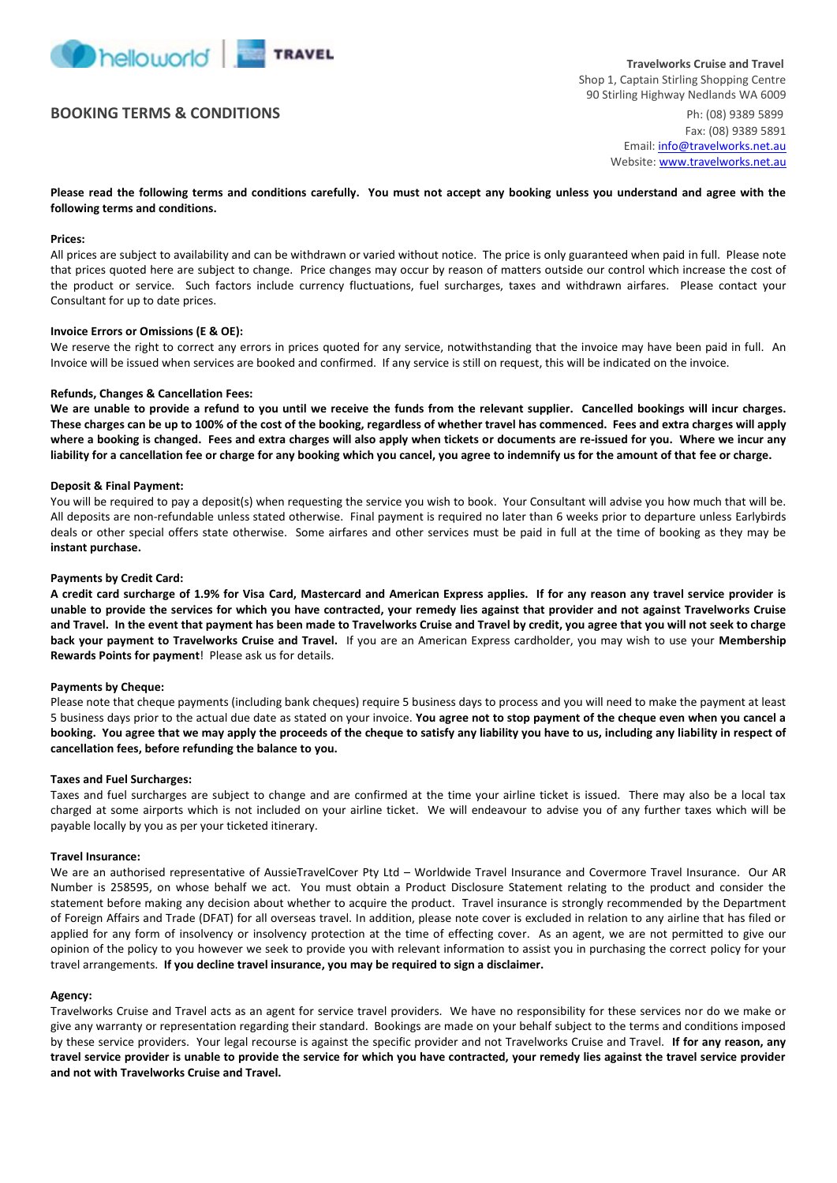

# **BOOKING TERMS & CONDITIONS** Ph: (08) 9389 5899

Fax: (08) 9389 5891 Email[: info@travelworks.net.au](mailto:info@travelworks.net.au) Website: [www.travelworks.net.au](http://www.travelworks.net.au/)

**Please read the following terms and conditions carefully. You must not accept any booking unless you understand and agree with the following terms and conditions.**

#### **Prices:**

All prices are subject to availability and can be withdrawn or varied without notice. The price is only guaranteed when paid in full. Please note that prices quoted here are subject to change. Price changes may occur by reason of matters outside our control which increase the cost of the product or service. Such factors include currency fluctuations, fuel surcharges, taxes and withdrawn airfares. Please contact your Consultant for up to date prices.

### **Invoice Errors or Omissions (E & OE):**

We reserve the right to correct any errors in prices quoted for any service, notwithstanding that the invoice may have been paid in full. An Invoice will be issued when services are booked and confirmed. If any service is still on request, this will be indicated on the invoice.

#### **Refunds, Changes & Cancellation Fees:**

**We are unable to provide a refund to you until we receive the funds from the relevant supplier. Cancelled bookings will incur charges. These charges can be up to 100% of the cost of the booking, regardless of whether travel has commenced. Fees and extra charges will apply where a booking is changed. Fees and extra charges will also apply when tickets or documents are re-issued for you. Where we incur any liability for a cancellation fee or charge for any booking which you cancel, you agree to indemnify us for the amount of that fee or charge.** 

### **Deposit & Final Payment:**

You will be required to pay a deposit(s) when requesting the service you wish to book. Your Consultant will advise you how much that will be. All deposits are non-refundable unless stated otherwise. Final payment is required no later than 6 weeks prior to departure unless Earlybirds deals or other special offers state otherwise. Some airfares and other services must be paid in full at the time of booking as they may be **instant purchase.**

#### **Payments by Credit Card:**

**A credit card surcharge of 1.9% for Visa Card, Mastercard and American Express applies. If for any reason any travel service provider is unable to provide the services for which you have contracted, your remedy lies against that provider and not against Travelworks Cruise and Travel. In the event that payment has been made to Travelworks Cruise and Travel by credit, you agree that you will not seek to charge back your payment to Travelworks Cruise and Travel.** If you are an American Express cardholder, you may wish to use your **Membership Rewards Points for payment**! Please ask us for details.

#### **Payments by Cheque:**

Please note that cheque payments (including bank cheques) require 5 business days to process and you will need to make the payment at least 5 business days prior to the actual due date as stated on your invoice. **You agree not to stop payment of the cheque even when you cancel a booking. You agree that we may apply the proceeds of the cheque to satisfy any liability you have to us, including any liability in respect of cancellation fees, before refunding the balance to you.**

#### **Taxes and Fuel Surcharges:**

Taxes and fuel surcharges are subject to change and are confirmed at the time your airline ticket is issued. There may also be a local tax charged at some airports which is not included on your airline ticket. We will endeavour to advise you of any further taxes which will be payable locally by you as per your ticketed itinerary.

### **Travel Insurance:**

We are an authorised representative of AussieTravelCover Pty Ltd – Worldwide Travel Insurance and Covermore Travel Insurance. Our AR Number is 258595, on whose behalf we act. You must obtain a Product Disclosure Statement relating to the product and consider the statement before making any decision about whether to acquire the product. Travel insurance is strongly recommended by the Department of Foreign Affairs and Trade (DFAT) for all overseas travel. In addition, please note cover is excluded in relation to any airline that has filed or applied for any form of insolvency or insolvency protection at the time of effecting cover. As an agent, we are not permitted to give our opinion of the policy to you however we seek to provide you with relevant information to assist you in purchasing the correct policy for your travel arrangements. **If you decline travel insurance, you may be required to sign a disclaimer.** 

#### **Agency:**

Travelworks Cruise and Travel acts as an agent for service travel providers. We have no responsibility for these services nor do we make or give any warranty or representation regarding their standard. Bookings are made on your behalf subject to the terms and conditions imposed by these service providers. Your legal recourse is against the specific provider and not Travelworks Cruise and Travel. **If for any reason, any travel service provider is unable to provide the service for which you have contracted, your remedy lies against the travel service provider and not with Travelworks Cruise and Travel.**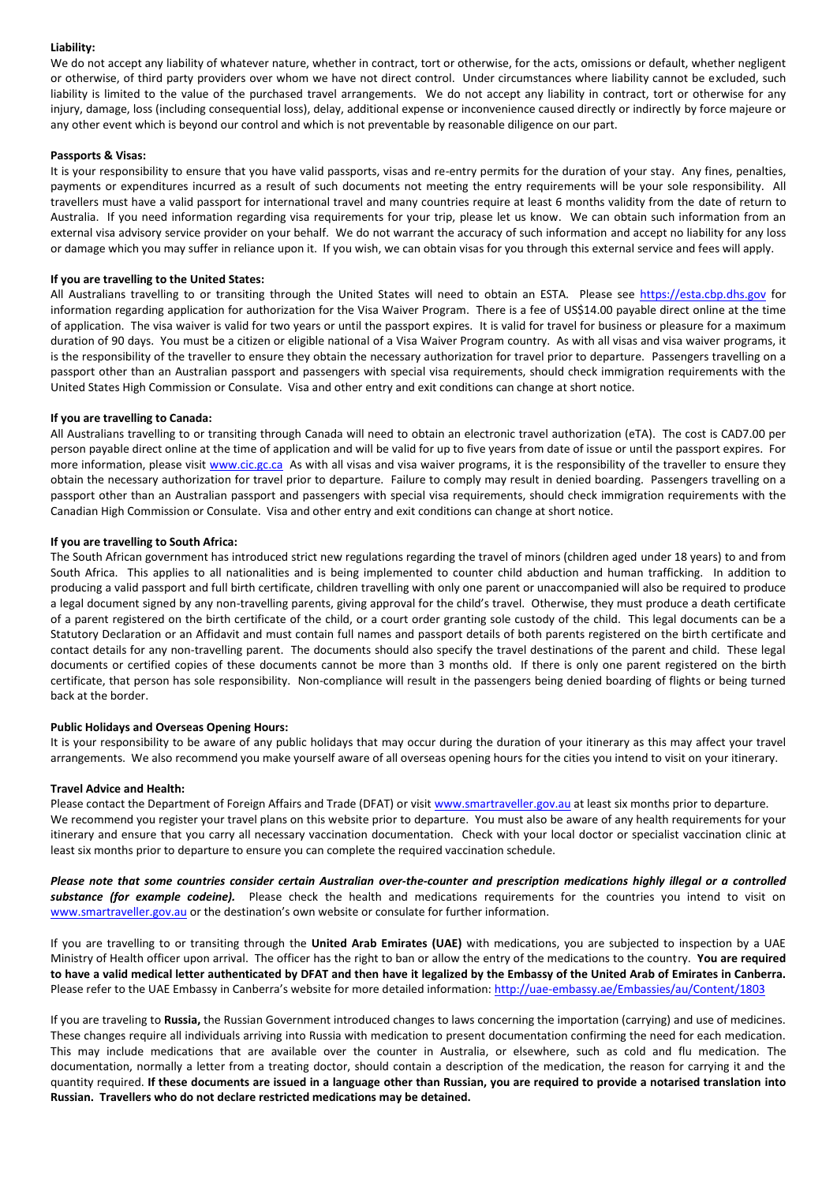# **Liability:**

We do not accept any liability of whatever nature, whether in contract, tort or otherwise, for the acts, omissions or default, whether negligent or otherwise, of third party providers over whom we have not direct control. Under circumstances where liability cannot be excluded, such liability is limited to the value of the purchased travel arrangements. We do not accept any liability in contract, tort or otherwise for any injury, damage, loss (including consequential loss), delay, additional expense or inconvenience caused directly or indirectly by force majeure or any other event which is beyond our control and which is not preventable by reasonable diligence on our part.

# **Passports & Visas:**

It is your responsibility to ensure that you have valid passports, visas and re-entry permits for the duration of your stay. Any fines, penalties, payments or expenditures incurred as a result of such documents not meeting the entry requirements will be your sole responsibility. All travellers must have a valid passport for international travel and many countries require at least 6 months validity from the date of return to Australia. If you need information regarding visa requirements for your trip, please let us know. We can obtain such information from an external visa advisory service provider on your behalf. We do not warrant the accuracy of such information and accept no liability for any loss or damage which you may suffer in reliance upon it. If you wish, we can obtain visas for you through this external service and fees will apply.

# **If you are travelling to the United States:**

All Australians travelling to or transiting through the United States will need to obtain an ESTA. Please see [https://esta.cbp.dhs.gov](https://esta.cbp.dhs.gov/) for information regarding application for authorization for the Visa Waiver Program. There is a fee of US\$14.00 payable direct online at the time of application. The visa waiver is valid for two years or until the passport expires. It is valid for travel for business or pleasure for a maximum duration of 90 days. You must be a citizen or eligible national of a Visa Waiver Program country. As with all visas and visa waiver programs, it is the responsibility of the traveller to ensure they obtain the necessary authorization for travel prior to departure. Passengers travelling on a passport other than an Australian passport and passengers with special visa requirements, should check immigration requirements with the United States High Commission or Consulate. Visa and other entry and exit conditions can change at short notice.

# **If you are travelling to Canada:**

All Australians travelling to or transiting through Canada will need to obtain an electronic travel authorization (eTA). The cost is CAD7.00 per person payable direct online at the time of application and will be valid for up to five years from date of issue or until the passport expires. For more information, please visit [www.cic.gc.ca](http://www.cic.gc.ca/) As with all visas and visa waiver programs, it is the responsibility of the traveller to ensure they obtain the necessary authorization for travel prior to departure. Failure to comply may result in denied boarding. Passengers travelling on a passport other than an Australian passport and passengers with special visa requirements, should check immigration requirements with the Canadian High Commission or Consulate. Visa and other entry and exit conditions can change at short notice.

# **If you are travelling to South Africa:**

The South African government has introduced strict new regulations regarding the travel of minors (children aged under 18 years) to and from South Africa. This applies to all nationalities and is being implemented to counter child abduction and human trafficking. In addition to producing a valid passport and full birth certificate, children travelling with only one parent or unaccompanied will also be required to produce a legal document signed by any non-travelling parents, giving approval for the child's travel. Otherwise, they must produce a death certificate of a parent registered on the birth certificate of the child, or a court order granting sole custody of the child. This legal documents can be a Statutory Declaration or an Affidavit and must contain full names and passport details of both parents registered on the birth certificate and contact details for any non-travelling parent. The documents should also specify the travel destinations of the parent and child. These legal documents or certified copies of these documents cannot be more than 3 months old. If there is only one parent registered on the birth certificate, that person has sole responsibility. Non-compliance will result in the passengers being denied boarding of flights or being turned back at the border.

#### **Public Holidays and Overseas Opening Hours:**

It is your responsibility to be aware of any public holidays that may occur during the duration of your itinerary as this may affect your travel arrangements. We also recommend you make yourself aware of all overseas opening hours for the cities you intend to visit on your itinerary.

# **Travel Advice and Health:**

Please contact the Department of Foreign Affairs and Trade (DFAT) or visit [www.smartraveller.gov.au](http://www.smartraveller.gov.au/) at least six months prior to departure. We recommend you register your travel plans on this website prior to departure. You must also be aware of any health requirements for your itinerary and ensure that you carry all necessary vaccination documentation. Check with your local doctor or specialist vaccination clinic at least six months prior to departure to ensure you can complete the required vaccination schedule.

*Please note that some countries consider certain Australian over-the-counter and prescription medications highly illegal or a controlled substance (for example codeine).* Please check the health and medications requirements for the countries you intend to visit on [www.smartraveller.gov.au](http://www.smartraveller.gov.au/) or the destination's own website or consulate for further information.

If you are travelling to or transiting through the **United Arab Emirates (UAE)** with medications, you are subjected to inspection by a UAE Ministry of Health officer upon arrival. The officer has the right to ban or allow the entry of the medications to the country. **You are required to have a valid medical letter authenticated by DFAT and then have it legalized by the Embassy of the United Arab of Emirates in Canberra.** Please refer to the UAE Embassy in Canberra's website for more detailed information: <http://uae-embassy.ae/Embassies/au/Content/1803>

If you are traveling to **Russia,** the Russian Government introduced changes to laws concerning the importation (carrying) and use of medicines. These changes require all individuals arriving into Russia with medication to present documentation confirming the need for each medication. This may include medications that are available over the counter in Australia, or elsewhere, such as cold and flu medication. The documentation, normally a letter from a treating doctor, should contain a description of the medication, the reason for carrying it and the quantity required. **If these documents are issued in a language other than Russian, you are required to provide a notarised translation into Russian. Travellers who do not declare restricted medications may be detained.**